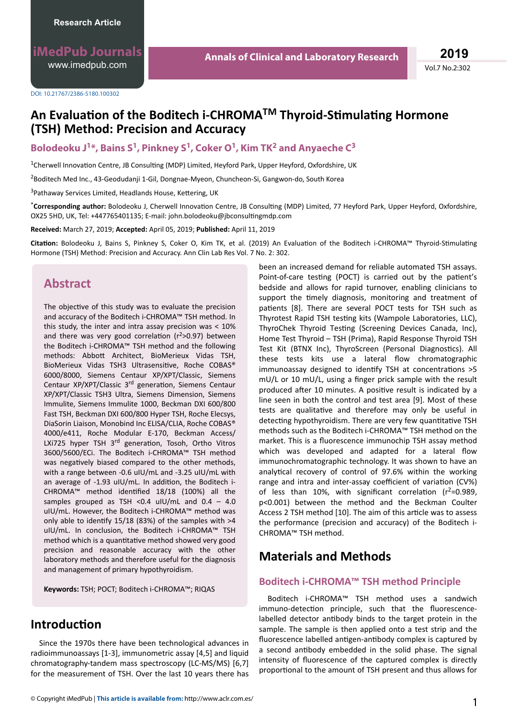**iMedPub Journals** [www.imedpub.com](http://www.imedpub.com/)

DOI: 10.21767/2386-5180.100302

# **An Evaluation of the Boditech i-CHROMA<sup>™</sup> Thyroid-Stimulating Hormone (TSH) Method: Precision and Accuracy**

### **Bolodeoku J1\*, Bains S<sup>1</sup> , Pinkney S<sup>1</sup> , Coker O<sup>1</sup> , Kim TK<sup>2</sup> and Anyaeche C<sup>3</sup>**

<sup>1</sup>Cherwell Innovation Centre, JB Consulting (MDP) Limited, Heyford Park, Upper Heyford, Oxfordshire, UK

<sup>2</sup>Boditech Med Inc., 43-Geodudanji 1-Gil, Dongnae-Myeon, Chuncheon-Si, Gangwon-do, South Korea

<sup>3</sup>Pathaway Services Limited, Headlands House, Kettering, UK

\*Corresponding author: Bolodeoku J, Cherwell Innovation Centre, JB Consulting (MDP) Limited, 77 Heyford Park, Upper Heyford, Oxfordshire, OX25 5HD, UK, Tel: +447765401135; E-mail: john.bolodeoku@jbconsultingmdp.com

**Received:** March 27, 2019; **Accepted:** April 05, 2019; **Published:** April 11, 2019

**Citation:** Bolodeoku J, Bains S, Pinkney S, Coker O, Kim TK, et al. (2019) An Evaluation of the Boditech i-CHROMA™ Thyroid-Stimulating Hormone (TSH) Method: Precision and Accuracy. Ann Clin Lab Res Vol. 7 No. 2: 302.

### **Abstract**

The objective of this study was to evaluate the precision and accuracy of the Boditech i-CHROMA™ TSH method. In this study, the inter and intra assay precision was < 10% and there was very good correlation ( $r^2$ >0.97) between the Boditech i-CHROMA™ TSH method and the following methods: Abbott Architect, BioMerieux Vidas TSH, BioMerieux Vidas TSH3 Ultrasensitive, Roche COBAS® 6000/8000, Siemens Centaur XP/XPT/Classic, Siemens Centaur XP/XPT/Classic  $3<sup>rd</sup>$  generation, Siemens Centaur XP/XPT/Classic TSH3 Ultra, Siemens Dimension, Siemens Immulite, Siemens Immulite 1000, Beckman DXI 600/800 Fast TSH, Beckman DXI 600/800 Hyper TSH, Roche Elecsys, DiaSorin Liaison, Monobind Inc ELISA/CLIA, Roche COBAS® 4000/e411, Roche Modular E-170, Beckman Access/ LXi725 hyper TSH 3<sup>rd</sup> generation, Tosoh, Ortho Vitros 3600/5600/ECi. The Boditech i-CHROMA™ TSH method was negatively biased compared to the other methods, with a range between -0.6 uIU/mL and -3.25 uIU/mL with an average of -1.93 uIU/mL. In addition, the Boditech i-CHROMA™ method identified  $18/18$  (100%) all the samples grouped as TSH <0.4 uIU/mL and  $0.4 - 4.0$ uIU/mL. However, the Boditech i-CHROMA™ method was only able to identify 15/18 (83%) of the samples with  $>4$ uIU/mL. In conclusion, the Boditech i-CHROMA™ TSH method which is a quantitative method showed very good precision and reasonable accuracy with the other laboratory methods and therefore useful for the diagnosis and management of primary hypothyroidism.

**Keywords:** TSH; POCT; Boditech i-CHROMA™; RIQAS

## **Introduction**

Since the 1970s there have been technological advances in radioimmunoassays [1-3], immunometric assay [4,5] and liquid chromatography-tandem mass spectroscopy (LC-MS/MS) [6,7] for the measurement of TSH. Over the last 10 years there has been an increased demand for reliable automated TSH assays. Point-of-care testing (POCT) is carried out by the patient's bedside and allows for rapid turnover, enabling clinicians to support the timely diagnosis, monitoring and treatment of patients [8]. There are several POCT tests for TSH such as Thyrotest Rapid TSH testing kits (Wampole Laboratories, LLC), ThyroChek Thyroid Testing (Screening Devices Canada, Inc), Home Test Thyroid – TSH (Prima), Rapid Response Thyroid TSH Test Kit (BTNX Inc), ThyroScreen (Personal Diagnostics). All these tests kits use a lateral flow chromatographic immunoassay designed to identify TSH at concentrations >5  $mU/L$  or 10 mU/L, using a finger prick sample with the result produced after 10 minutes. A positive result is indicated by a line seen in both the control and test area [9]. Most of these tests are qualitative and therefore may only be useful in detecting hypothyroidism. There are very few quantitative TSH methods such as the Boditech i-CHROMA™ TSH method on the market. This is a fluorescence immunochip TSH assay method which was developed and adapted for a lateral flow immunochromatographic technology. It was shown to have an analytical recovery of control of 97.6% within the working range and intra and inter-assay coefficient of variation (CV%) of less than 10%, with significant correlation ( $r^2$ =0.989, p<0.001) between the method and the Beckman Coulter Access 2 TSH method [10]. The aim of this article was to assess the performance (precision and accuracy) of the Boditech i-CHROMA™ TSH method.

## **Materials and Methods**

#### **Boditech i-CHROMA™ TSH method Principle**

Boditech i-CHROMA™ TSH method uses a sandwich immuno-detection principle, such that the fluorescencelabelled detector antibody binds to the target protein in the sample. The sample is then applied onto a test strip and the fluorescence labelled antigen-antibody complex is captured by a second antibody embedded in the solid phase. The signal intensity of fluorescence of the captured complex is directly proportional to the amount of TSH present and thus allows for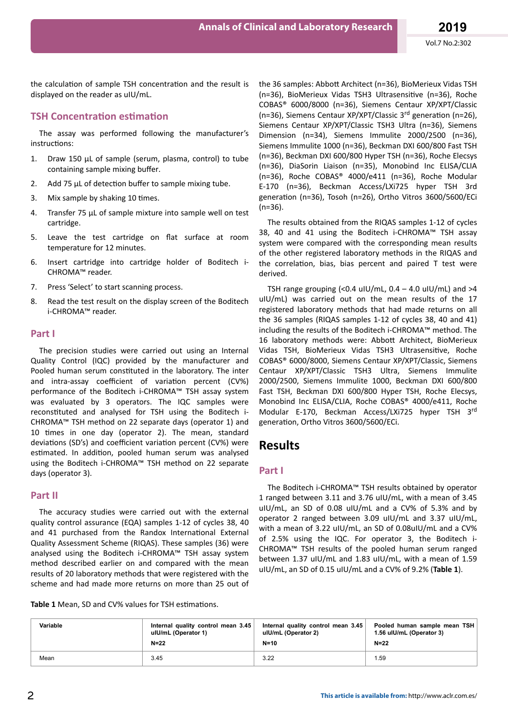the calculation of sample TSH concentration and the result is displayed on the reader as uIU/mL.

#### **TSH Concentration estimation**

The assay was performed following the manufacturer's instructions:

- 1. Draw 150 μL of sample (serum, plasma, control) to tube containing sample mixing buffer.
- 2. Add 75  $\mu$ L of detection buffer to sample mixing tube.
- 3. Mix sample by shaking 10 times.
- 4. Transfer 75 μL of sample mixture into sample well on test cartridge.
- 5. Leave the test cartridge on flat surface at room temperature for 12 minutes.
- 6. Insert cartridge into cartridge holder of Boditech i-CHROMA™ reader.
- 7. Press 'Select' to start scanning process.
- 8. Read the test result on the display screen of the Boditech i-CHROMA™ reader.

#### **Part I**

The precision studies were carried out using an Internal Quality Control (IQC) provided by the manufacturer and Pooled human serum constituted in the laboratory. The inter and intra-assay coefficient of variation percent (CV%) performance of the Boditech i-CHROMA™ TSH assay system was evaluated by 3 operators. The IQC samples were reconstituted and analysed for TSH using the Boditech i-CHROMA™ TSH method on 22 separate days (operator 1) and 10 times in one day (operator 2). The mean, standard deviations (SD's) and coefficient variation percent (CV%) were estimated. In addition, pooled human serum was analysed using the Boditech i-CHROMA™ TSH method on 22 separate days (operator 3).

#### **Part II**

The accuracy studies were carried out with the external quality control assurance (EQA) samples 1-12 of cycles 38, 40 and 41 purchased from the Randox International External Quality Assessment Scheme (RIQAS). These samples (36) were analysed using the Boditech i-CHROMA™ TSH assay system method described earlier on and compared with the mean results of 20 laboratory methods that were registered with the scheme and had made more returns on more than 25 out of the 36 samples: Abbott Architect (n=36), BioMerieux Vidas TSH (n=36), BioMerieux Vidas TSH3 Ultrasensitive (n=36), Roche COBAS® 6000/8000 (n=36), Siemens Centaur XP/XPT/Classic (n=36), Siemens Centaur XP/XPT/Classic  $3^{rd}$  generation (n=26), Siemens Centaur XP/XPT/Classic TSH3 Ultra (n=36), Siemens Dimension (n=34), Siemens Immulite 2000/2500 (n=36), Siemens Immulite 1000 (n=36), Beckman DXI 600/800 Fast TSH (n=36), Beckman DXI 600/800 Hyper TSH (n=36), Roche Elecsys (n=36), DiaSorin Liaison (n=35), Monobind Inc ELISA/CLIA (n=36), Roche COBAS® 4000/e411 (n=36), Roche Modular E-170 (n=36), Beckman Access/LXi725 hyper TSH 3rd generation (n=36), Tosoh (n=26), Ortho Vitros 3600/5600/ECi (n=36).

The results obtained from the RIQAS samples 1-12 of cycles 38, 40 and 41 using the Boditech i-CHROMA™ TSH assay system were compared with the corresponding mean results of the other registered laboratory methods in the RIQAS and the correlation, bias, bias percent and paired T test were derived.

TSH range grouping (<0.4 uIU/mL,  $0.4 - 4.0$  uIU/mL) and >4 uIU/mL) was carried out on the mean results of the 17 registered laboratory methods that had made returns on all the 36 samples (RIQAS samples 1-12 of cycles 38, 40 and 41) including the results of the Boditech i-CHROMA™ method. The 16 laboratory methods were: Abbott Architect, BioMerieux Vidas TSH, BioMerieux Vidas TSH3 Ultrasensitive, Roche COBAS® 6000/8000, Siemens Centaur XP/XPT/Classic, Siemens Centaur XP/XPT/Classic TSH3 Ultra, Siemens Immulite 2000/2500, Siemens Immulite 1000, Beckman DXI 600/800 Fast TSH, Beckman DXI 600/800 Hyper TSH, Roche Elecsys, Monobind Inc ELISA/CLIA, Roche COBAS® 4000/e411, Roche Modular E-170, Beckman Access/LXi725 hyper TSH 3rd generation, Ortho Vitros 3600/5600/ECi.

### **Results**

#### **Part I**

The Boditech i-CHROMA™ TSH results obtained by operator 1 ranged between 3.11 and 3.76 uIU/mL, with a mean of 3.45 uIU/mL, an SD of 0.08 uIU/mL and a CV% of 5.3% and by operator 2 ranged between 3.09 uIU/mL and 3.37 uIU/mL, with a mean of 3.22 uIU/mL, an SD of 0.08uIU/mL and a CV% of 2.5% using the IQC. For operator 3, the Boditech i-CHROMA™ TSH results of the pooled human serum ranged between 1.37 uIU/mL and 1.83 uIU/mL, with a mean of 1.59 uIU/mL, an SD of 0.15 uIU/mL and a CV% of 9.2% (**Table 1**).

Table 1 Mean, SD and CV% values for TSH estimations.

| Variable | Internal quality control mean 3.45 | Internal quality control mean 3.45 | Pooled human sample mean TSH |
|----------|------------------------------------|------------------------------------|------------------------------|
|          | ulU/mL (Operator 1)                | ulU/mL (Operator 2)                | 1.56 uIU/mL (Operator 3)     |
|          | $N=22$                             | $N=10$                             | $N=22$                       |
| Mean     | 3.45                               | 3.22                               | 1.59                         |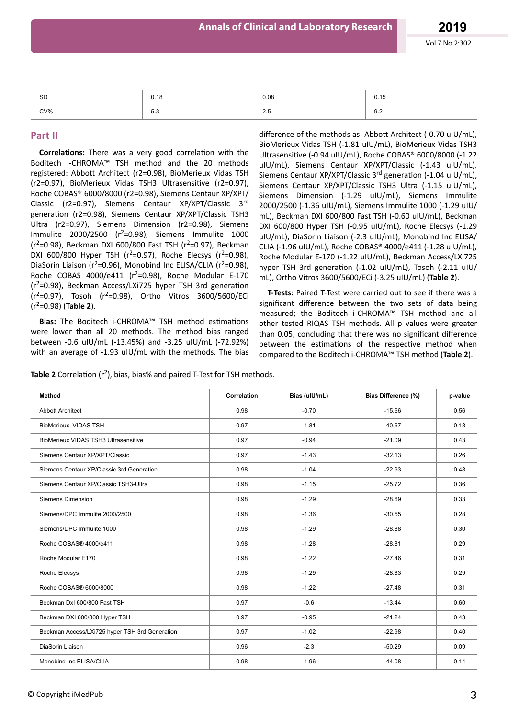| <b>SD</b> | 0.18                             | 0.08                           | $\sim$ $\sim$<br>0.15 |
|-----------|----------------------------------|--------------------------------|-----------------------|
| CV%       | $\sim$ $\sim$<br><b>.</b><br>.აა | $\sim$ $\sim$<br>ن ک<br>$\sim$ | ∩ ∩<br>୬.∠            |

#### **Part II**

**Correlations:** There was a very good correlation with the Boditech i-CHROMA™ TSH method and the 20 methods registered: Abbott Architect (r2=0.98), BioMerieux Vidas TSH (r2=0.97), BioMerieux Vidas TSH3 Ultrasensitive (r2=0.97), Roche COBAS® 6000/8000 (r2=0.98), Siemens Centaur XP/XPT/ Classic (r2=0.97), Siemens Centaur XP/XPT/Classic 3rd generation (r2=0.98), Siemens Centaur XP/XPT/Classic TSH3 Ultra (r2=0.97), Siemens Dimension (r2=0.98), Siemens Immulite 2000/2500 ( $r^2$ =0.98), Siemens Immulite 1000  $(r^2=0.98)$ , Beckman DXI 600/800 Fast TSH  $(r^2=0.97)$ , Beckman DXI 600/800 Hyper TSH ( $r^2$ =0.97), Roche Elecsys ( $r^2$ =0.98), DiaSorin Liaison ( $r^2$ =0.96), Monobind Inc ELISA/CLIA ( $r^2$ =0.98), Roche COBAS 4000/e411 ( $r^2$ =0.98), Roche Modular E-170 ( $r^2$ =0.98), Beckman Access/LXi725 hyper TSH 3rd generation  $(r^2=0.97)$ , Tosoh ( $r^2=0.98$ ), Ortho Vitros 3600/5600/ECi (r2=0.98) (**Table 2**).

**Bias:** The Boditech i-CHROMA<sup>™</sup> TSH method estimations were lower than all 20 methods. The method bias ranged between -0.6 uIU/mL (-13.45%) and -3.25 uIU/mL (-72.92%) with an average of -1.93 uIU/mL with the methods. The bias

difference of the methods as: Abbott Architect (-0.70 uIU/mL), BioMerieux Vidas TSH (-1.81 uIU/mL), BioMerieux Vidas TSH3 Ultrasensitive (-0.94 uIU/mL), Roche COBAS® 6000/8000 (-1.22 uIU/mL), Siemens Centaur XP/XPT/Classic (-1.43 uIU/mL), Siemens Centaur XP/XPT/Classic 3<sup>rd</sup> generation (-1.04 uIU/mL). Siemens Centaur XP/XPT/Classic TSH3 Ultra (-1.15 uIU/mL), Siemens Dimension (-1.29 uIU/mL), Siemens Immulite 2000/2500 (-1.36 uIU/mL), Siemens Immulite 1000 (-1.29 uIU/ mL), Beckman DXI 600/800 Fast TSH (-0.60 uIU/mL), Beckman DXI 600/800 Hyper TSH (-0.95 uIU/mL), Roche Elecsys (-1.29 uIU/mL), DiaSorin Liaison (-2.3 uIU/mL), Monobind Inc ELISA/ CLIA (-1.96 uIU/mL), Roche COBAS® 4000/e411 (-1.28 uIU/mL), Roche Modular E-170 (-1.22 uIU/mL), Beckman Access/LXi725 hyper TSH 3rd generation (-1.02 uIU/mL). Tosoh (-2.11 uIU/ mL), Ortho Vitros 3600/5600/ECi (-3.25 uIU/mL) (**Table 2**).

**T-Tests:** Paired T-Test were carried out to see if there was a significant difference between the two sets of data being measured; the Boditech i-CHROMA™ TSH method and all other tested RIQAS TSH methods. All p values were greater than 0.05, concluding that there was no significant difference between the estimations of the respective method when compared to the Boditech i-CHROMA™ TSH method (**Table 2**).

|  |  | Table 2 Correlation $(r^2)$ , bias, bias% and paired T-Test for TSH methods. |
|--|--|------------------------------------------------------------------------------|
|--|--|------------------------------------------------------------------------------|

| Method                                         | Correlation | Bias (ulU/mL) | Bias Difference (%) | p-value |
|------------------------------------------------|-------------|---------------|---------------------|---------|
| <b>Abbott Architect</b>                        | 0.98        | $-0.70$       | $-15.66$            | 0.56    |
| BioMerieux, VIDAS TSH                          | 0.97        | $-1.81$       | $-40.67$            | 0.18    |
| <b>BioMerieux VIDAS TSH3 Ultrasensitive</b>    | 0.97        | $-0.94$       | $-21.09$            | 0.43    |
| Siemens Centaur XP/XPT/Classic                 | 0.97        | $-1.43$       | $-32.13$            | 0.26    |
| Siemens Centaur XP/Classic 3rd Generation      | 0.98        | $-1.04$       | $-22.93$            | 0.48    |
| Siemens Centaur XP/Classic TSH3-Ultra          | 0.98        | $-1.15$       | $-25.72$            | 0.36    |
| <b>Siemens Dimension</b>                       | 0.98        | $-1.29$       | $-28.69$            | 0.33    |
| Siemens/DPC Immulite 2000/2500                 | 0.98        | $-1.36$       | $-30.55$            | 0.28    |
| Siemens/DPC Immulite 1000                      | 0.98        | $-1.29$       | $-28.88$            | 0.30    |
| Roche COBAS® 4000/e411                         | 0.98        | $-1.28$       | $-28.81$            | 0.29    |
| Roche Modular E170                             | 0.98        | $-1.22$       | $-27.46$            | 0.31    |
| Roche Elecsys                                  | 0.98        | $-1.29$       | $-28.83$            | 0.29    |
| Roche COBAS® 6000/8000                         | 0.98        | $-1.22$       | $-27.48$            | 0.31    |
| Beckman DxI 600/800 Fast TSH                   | 0.97        | $-0.6$        | $-13.44$            | 0.60    |
| Beckman DXI 600/800 Hyper TSH                  | 0.97        | $-0.95$       | $-21.24$            | 0.43    |
| Beckman Access/LXi725 hyper TSH 3rd Generation | 0.97        | $-1.02$       | $-22.98$            | 0.40    |
| DiaSorin Liaison                               | 0.96        | $-2.3$        | $-50.29$            | 0.09    |
| Monobind Inc ELISA/CLIA                        | 0.98        | $-1.96$       | $-44.08$            | 0.14    |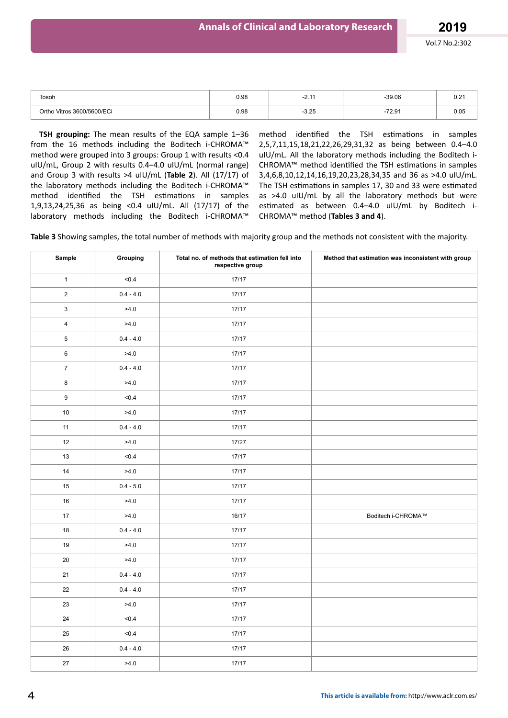| Tosoh                      | 0.98 | . .<br><u>.</u> | $-39.06$ | 0.21 |
|----------------------------|------|-----------------|----------|------|
| Ortho Vitros 3600/5600/ECi | 0.98 | $-3.25$         | $-72.91$ | 0.05 |

**TSH grouping:** The mean results of the EQA sample 1–36 from the 16 methods including the Boditech i-CHROMA™ method were grouped into 3 groups: Group 1 with results <0.4 uIU/mL, Group 2 with results 0.4–4.0 uIU/mL (normal range) and Group 3 with results >4 uIU/mL (**Table 2**). All (17/17) of the laboratory methods including the Boditech i-CHROMA™ method identified the TSH estimations in samples 1,9,13,24,25,36 as being <0.4 uIU/mL. All (17/17) of the laboratory methods including the Boditech i-CHROMA™

method identified the TSH estimations in samples 2,5,7,11,15,18,21,22,26,29,31,32 as being between 0.4–4.0 uIU/mL. All the laboratory methods including the Boditech i-CHROMA™ method identified the TSH estimations in samples 3,4,6,8,10,12,14,16,19,20,23,28,34,35 and 36 as >4.0 uIU/mL. The TSH estimations in samples 17, 30 and 33 were estimated as >4.0 uIU/mL by all the laboratory methods but were estimated as between 0.4–4.0 uIU/mL by Boditech i-CHROMA™ method (**Tables 3 and 4**).

**Table 3** Showing samples, the total number of methods with majority group and the methods not consistent with the majority.

| Sample                  | Grouping    | Total no. of methods that estimation fell into<br>respective group | Method that estimation was inconsistent with group |
|-------------------------|-------------|--------------------------------------------------------------------|----------------------------------------------------|
| $\mathbf{1}$            | < 0.4       | 17/17                                                              |                                                    |
| $\overline{a}$          | $0.4 - 4.0$ | 17/17                                                              |                                                    |
| $\mathbf{3}$            | >4.0        | 17/17                                                              |                                                    |
| $\overline{\mathbf{4}}$ | >4.0        | 17/17                                                              |                                                    |
| 5                       | $0.4 - 4.0$ | 17/17                                                              |                                                    |
| $\mathbf 6$             | >4.0        | 17/17                                                              |                                                    |
| $\bf 7$                 | $0.4 - 4.0$ | 17/17                                                              |                                                    |
| $\bf 8$                 | >4.0        | 17/17                                                              |                                                    |
| $\boldsymbol{9}$        | < 0.4       | 17/17                                                              |                                                    |
| $10\,$                  | >4.0        | 17/17                                                              |                                                    |
| 11                      | $0.4 - 4.0$ | 17/17                                                              |                                                    |
| 12                      | >4.0        | 17/27                                                              |                                                    |
| 13                      | < 0.4       | 17/17                                                              |                                                    |
| $14\,$                  | >4.0        | 17/17                                                              |                                                    |
| 15                      | $0.4 - 5.0$ | 17/17                                                              |                                                    |
| $16\,$                  | >4.0        | 17/17                                                              |                                                    |
| 17                      | >4.0        | 16/17                                                              | Boditech i-CHROMA™                                 |
| $18\,$                  | $0.4 - 4.0$ | 17/17                                                              |                                                    |
| $19$                    | >4.0        | 17/17                                                              |                                                    |
| $20\,$                  | >4.0        | 17/17                                                              |                                                    |
| 21                      | $0.4 - 4.0$ | 17/17                                                              |                                                    |
| 22                      | $0.4 - 4.0$ | 17/17                                                              |                                                    |
| 23                      | >4.0        | 17/17                                                              |                                                    |
| $24\,$                  | < 0.4       | 17/17                                                              |                                                    |
| 25                      | < 0.4       | 17/17                                                              |                                                    |
| $26\,$                  | $0.4 - 4.0$ | 17/17                                                              |                                                    |
| 27                      | >4.0        | 17/17                                                              |                                                    |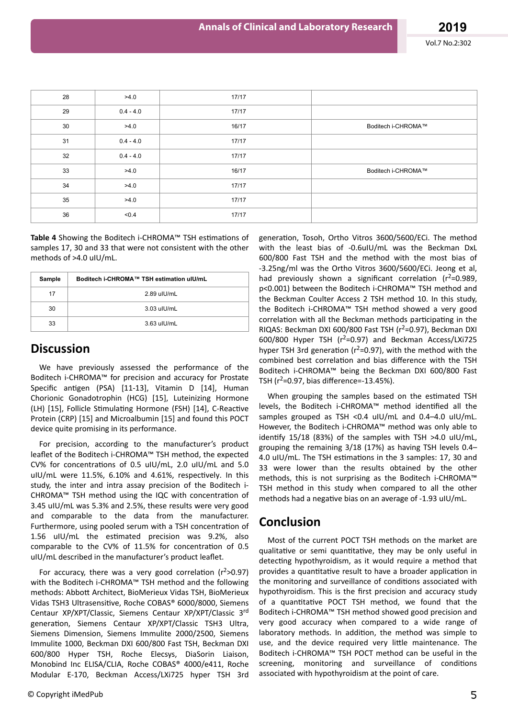| 28 | >4.0        | 17/17 |                    |
|----|-------------|-------|--------------------|
| 29 | $0.4 - 4.0$ | 17/17 |                    |
| 30 | >4.0        | 16/17 | Boditech i-CHROMA™ |
| 31 | $0.4 - 4.0$ | 17/17 |                    |
| 32 | $0.4 - 4.0$ | 17/17 |                    |
| 33 | >4.0        | 16/17 | Boditech i-CHROMA™ |
| 34 | >4.0        | 17/17 |                    |
| 35 | >4.0        | 17/17 |                    |
| 36 | < 0.4       | 17/17 |                    |

Table 4 Showing the Boditech i-CHROMA<sup>™</sup> TSH estimations of samples 17, 30 and 33 that were not consistent with the other methods of >4.0 uIU/mL.

| Sample | Boditech i-CHROMA™ TSH estimation uIU/mL |  |
|--------|------------------------------------------|--|
| 17     | 2.89 uIU/mL                              |  |
| 30     | $3.03$ ull/mL                            |  |
| 33     | $3.63$ ull/mL                            |  |

### **Discussion**

We have previously assessed the performance of the Boditech i-CHROMA™ for precision and accuracy for Prostate Specific antigen (PSA) [11-13], Vitamin D [14], Human Chorionic Gonadotrophin (HCG) [15], Luteinizing Hormone (LH) [15], Follicle Stimulating Hormone (FSH) [14], C-Reactive Protein (CRP) [15] and Microalbumin [15] and found this POCT device quite promising in its performance.

For precision, according to the manufacturer's product leaflet of the Boditech i-CHROMA™ TSH method, the expected CV% for concentrations of 0.5 uIU/mL, 2.0 uIU/mL and 5.0 uIU/mL were  $11.5\%$ ,  $6.10\%$  and  $4.61\%$ , respectively. In this study, the inter and intra assay precision of the Boditech i-CHROMA™ TSH method using the IQC with concentration of 3.45 uIU/mL was 5.3% and 2.5%, these results were very good and comparable to the data from the manufacturer. Furthermore, using pooled serum with a TSH concentration of 1.56 uIU/mL the estimated precision was 9.2%, also comparable to the CV% of 11.5% for concentration of 0.5 uIU/mL described in the manufacturer's product leaflet.

For accuracy, there was a very good correlation ( $r^2$ >0.97) with the Boditech i-CHROMA™ TSH method and the following methods: Abbott Architect, BioMerieux Vidas TSH, BioMerieux Vidas TSH3 Ultrasensitive, Roche COBAS® 6000/8000, Siemens Centaur XP/XPT/Classic, Siemens Centaur XP/XPT/Classic 3rd generation, Siemens Centaur XP/XPT/Classic TSH3 Ultra, Siemens Dimension, Siemens Immulite 2000/2500, Siemens Immulite 1000, Beckman DXI 600/800 Fast TSH, Beckman DXI 600/800 Hyper TSH, Roche Elecsys, DiaSorin Liaison, Monobind Inc ELISA/CLIA, Roche COBAS® 4000/e411, Roche Modular E-170, Beckman Access/LXi725 hyper TSH 3rd

generation, Tosoh, Ortho Vitros 3600/5600/ECi. The method with the least bias of -0.6uIU/mL was the Beckman DxL 600/800 Fast TSH and the method with the most bias of -3.25ng/ml was the Ortho Vitros 3600/5600/ECi. Jeong et al, had previously shown a significant correlation ( $r^2$ =0.989, p<0.001) between the Boditech i-CHROMA™ TSH method and the Beckman Coulter Access 2 TSH method 10. In this study, the Boditech i-CHROMA™ TSH method showed a very good correlation with all the Beckman methods participating in the RIQAS: Beckman DXI 600/800 Fast TSH ( $r^2$ =0.97), Beckman DXI 600/800 Hyper TSH ( $r^2$ =0.97) and Beckman Access/LXi725 hyper TSH 3rd generation ( $r^2$ =0.97), with the method with the combined best correlation and bias difference with the TSH Boditech i-CHROMA™ being the Beckman DXI 600/800 Fast TSH ( $r^2$ =0.97, bias difference=-13.45%).

When grouping the samples based on the estimated TSH levels, the Boditech i-CHROMA™ method identified all the samples grouped as TSH <0.4 uIU/mL and 0.4–4.0 uIU/mL. However, the Boditech i-CHROMA™ method was only able to identify 15/18 (83%) of the samples with TSH  $>4.0$  uIU/mL, grouping the remaining 3/18 (17%) as having TSH levels 0.4– 4.0 uIU/mL. The TSH estimations in the 3 samples: 17, 30 and 33 were lower than the results obtained by the other methods, this is not surprising as the Boditech i-CHROMA™ TSH method in this study when compared to all the other methods had a negative bias on an average of -1.93 uIU/mL.

# **Conclusion**

Most of the current POCT TSH methods on the market are qualitative or semi quantitative, they may be only useful in detecting hypothyroidism, as it would require a method that provides a quantitative result to have a broader application in the monitoring and surveillance of conditions associated with hypothyroidism. This is the first precision and accuracy study of a quantitative POCT TSH method, we found that the Boditech i-CHROMA™ TSH method showed good precision and very good accuracy when compared to a wide range of laboratory methods. In addition, the method was simple to use, and the device required very little maintenance. The Boditech i-CHROMA™ TSH POCT method can be useful in the screening, monitoring and surveillance of conditions associated with hypothyroidism at the point of care.